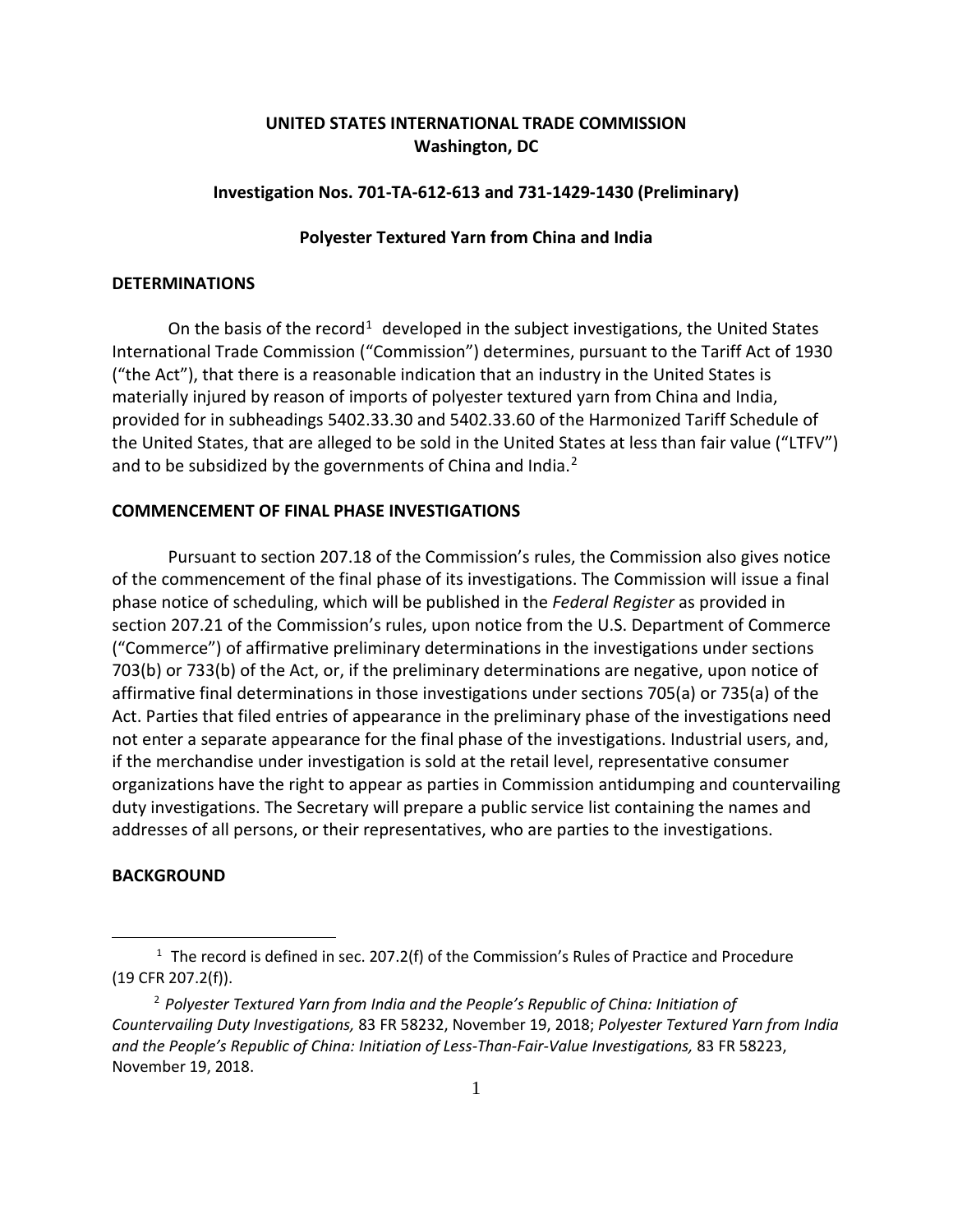# **UNITED STATES INTERNATIONAL TRADE COMMISSION Washington, DC**

# **Investigation Nos. 701-TA-612-613 and 731-1429-1430 (Preliminary)**

# **Polyester Textured Yarn from China and India**

# **DETERMINATIONS**

On the basis of the record<sup>[1](#page-0-0)</sup> developed in the subject investigations, the United States International Trade Commission ("Commission") determines, pursuant to the Tariff Act of 1930 ("the Act"), that there is a reasonable indication that an industry in the United States is materially injured by reason of imports of polyester textured yarn from China and India, provided for in subheadings 5402.33.30 and 5402.33.60 of the Harmonized Tariff Schedule of the United States, that are alleged to be sold in the United States at less than fair value ("LTFV") and to be subsidized by the governments of China and India.<sup>[2](#page-0-1)</sup>

#### **COMMENCEMENT OF FINAL PHASE INVESTIGATIONS**

Pursuant to section 207.18 of the Commission's rules, the Commission also gives notice of the commencement of the final phase of its investigations. The Commission will issue a final phase notice of scheduling, which will be published in the *Federal Register* as provided in section 207.21 of the Commission's rules, upon notice from the U.S. Department of Commerce ("Commerce") of affirmative preliminary determinations in the investigations under sections 703(b) or 733(b) of the Act, or, if the preliminary determinations are negative, upon notice of affirmative final determinations in those investigations under sections 705(a) or 735(a) of the Act. Parties that filed entries of appearance in the preliminary phase of the investigations need not enter a separate appearance for the final phase of the investigations. Industrial users, and, if the merchandise under investigation is sold at the retail level, representative consumer organizations have the right to appear as parties in Commission antidumping and countervailing duty investigations. The Secretary will prepare a public service list containing the names and addresses of all persons, or their representatives, who are parties to the investigations.

### **BACKGROUND**

 $\overline{a}$ 

<span id="page-0-0"></span><sup>&</sup>lt;sup>1</sup> The record is defined in sec. 207.2(f) of the Commission's Rules of Practice and Procedure (19 CFR 207.2(f)).

<span id="page-0-1"></span><sup>2</sup> *Polyester Textured Yarn from India and the People's Republic of China: Initiation of Countervailing Duty Investigations,* 83 FR 58232, November 19, 2018; *Polyester Textured Yarn from India and the People's Republic of China: Initiation of Less-Than-Fair-Value Investigations,* 83 FR 58223, November 19, 2018.